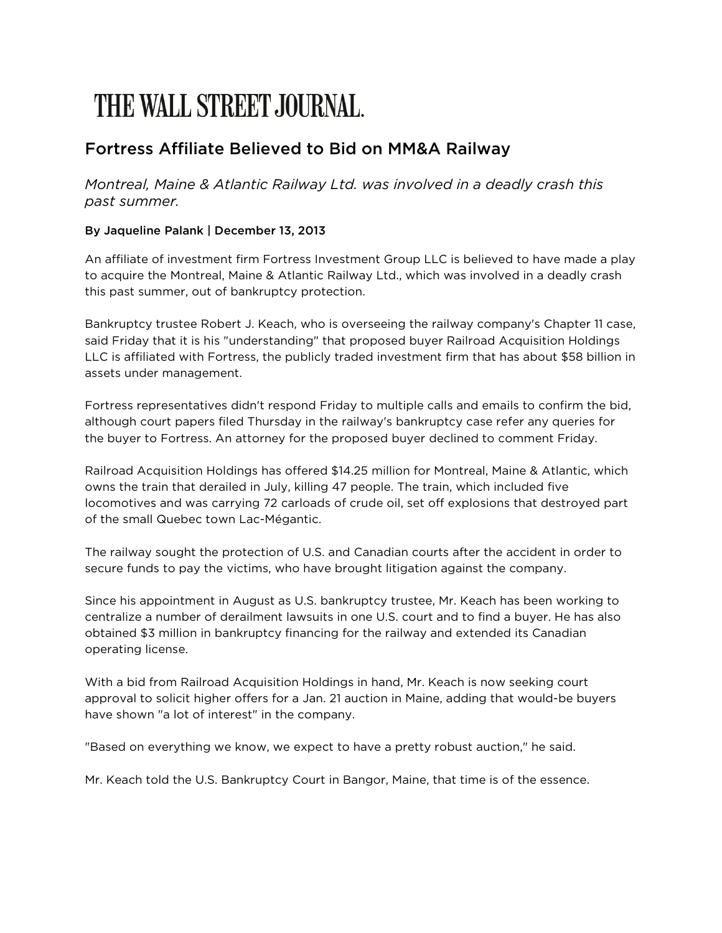## THE WALL STREET. JOURNAL.

## Fortress Affiliate Believed to Bid on MM&A Railway

*Montreal, Maine & Atlantic Railway Ltd. was involved in a deadly crash this past summer.*

## By Jaqueline Palank | December 13, 2013

An affiliate of investment firm Fortress Investment Group LLC is believed to have made a play to acquire the Montreal, Maine & Atlantic Railway Ltd., which was involved in a deadly crash this past summer, out of bankruptcy protection.

Bankruptcy trustee Robert J. Keach, who is overseeing the railway company's Chapter 11 case, said Friday that it is his "understanding" that proposed buyer Railroad Acquisition Holdings LLC is affiliated with Fortress, the publicly traded investment firm that has about \$58 billion in assets under management.

Fortress representatives didn't respond Friday to multiple calls and emails to confirm the bid, although court papers filed Thursday in the railway's bankruptcy case refer any queries for the buyer to Fortress. An attorney for the proposed buyer declined to comment Friday.

Railroad Acquisition Holdings has offered \$14.25 million for Montreal, Maine & Atlantic, which owns the train that derailed in July, killing 47 people. The train, which included five locomotives and was carrying 72 carloads of crude oil, set off explosions that destroyed part of the small Quebec town Lac-Mégantic.

The railway sought the protection of U.S. and Canadian courts after the accident in order to secure funds to pay the victims, who have brought litigation against the company.

Since his appointment in August as U.S. bankruptcy trustee, Mr. Keach has been working to centralize a number of derailment lawsuits in one U.S. court and to find a buyer. He has also obtained \$3 million in bankruptcy financing for the railway and extended its Canadian operating license.

With a bid from Railroad Acquisition Holdings in hand, Mr. Keach is now seeking court approval to solicit higher offers for a Jan. 21 auction in Maine, adding that would-be buyers have shown "a lot of interest" in the company.

"Based on everything we know, we expect to have a pretty robust auction," he said.

Mr. Keach told the U.S. Bankruptcy Court in Bangor, Maine, that time is of the essence.